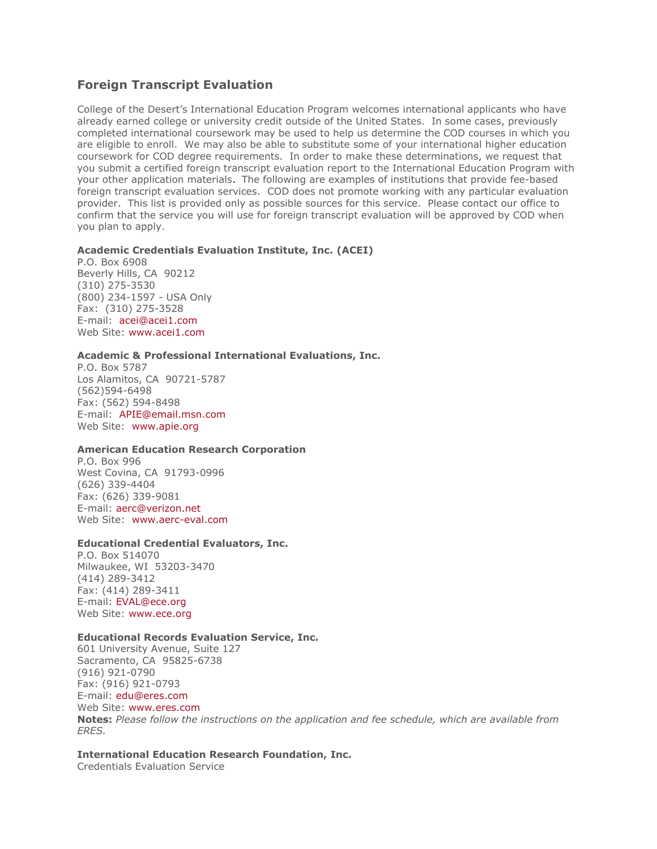# **Foreign Transcript Evaluation**

College of the Desert's International Education Program welcomes international applicants who have already earned college or university credit outside of the United States. In some cases, previously completed international coursework may be used to help us determine the COD courses in which you are eligible to enroll. We may also be able to substitute some of your international higher education coursework for COD degree requirements. In order to make these determinations, we request that you submit a certified foreign transcript evaluation report to the International Education Program with your other application materials. The following are examples of institutions that provide fee-based foreign transcript evaluation services. COD does not promote working with any particular evaluation provider. This list is provided only as possible sources for this service. Please contact our office to confirm that the service you will use for foreign transcript evaluation will be approved by COD when you plan to apply.

### **Academic Credentials Evaluation Institute, Inc. (ACEI)**

P.O. Box 6908 Beverly Hills, CA 90212 (310) 275-3530 (800) 234-1597 - USA Only Fax: (310) 275-3528 E-mail: [acei@acei1.com](mailto:acei@acei1.com) Web Site: [www.acei1.com](http://www.acei1.com/)

### **Academic & Professional International Evaluations, Inc.**

P.O. Box 5787 Los Alamitos, CA 90721-5787 (562)594-6498 Fax: (562) 594-8498 E-mail: [APIE@email.msn.com](mailto:APIE@email.msn.com) Web Site: [www.apie.org](http://www.apie.org/)

#### **American Education Research Corporation**

P.O. Box 996 West Covina, CA 91793-0996 (626) 339-4404 Fax: (626) 339-9081 E-mail: [aerc@verizon.net](mailto:aerc@verizon.net) Web Site: [www.aerc-eval.com](http://www.aerc-eval.com/)

#### **Educational Credential Evaluators, Inc.**

P.O. Box 514070 Milwaukee, WI 53203-3470 (414) 289-3412 Fax: (414) 289-3411 E-mail: [EVAL@ece.org](mailto:EVAL@ece.org) Web Site: [www.ece.org](http://www.ece.org/)

### **Educational Records Evaluation Service, Inc.**

601 University Avenue, Suite 127 Sacramento, CA 95825-6738 (916) 921-0790 Fax: (916) 921-0793 E-mail: [edu@eres.com](mailto:edu@eres.com) Web Site: [www.eres.com](http://www.eres.com/) **Notes:** *Please follow the instructions on the application and fee schedule, which are available from ERES.*

## **International Education Research Foundation, Inc.**

Credentials Evaluation Service